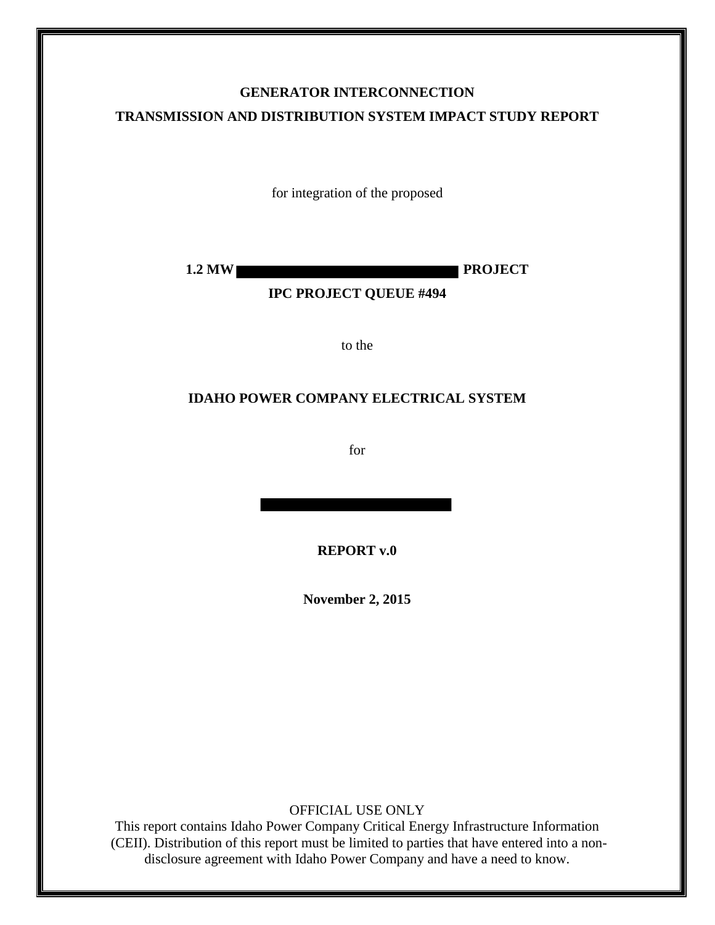## **GENERATOR INTERCONNECTION TRANSMISSION AND DISTRIBUTION SYSTEM IMPACT STUDY REPORT**

for integration of the proposed

**1.2 MW PROJECT** 

**IPC PROJECT QUEUE #494**

to the

#### **IDAHO POWER COMPANY ELECTRICAL SYSTEM**

for

**REPORT v.0** 

**November 2, 2015** 

OFFICIAL USE ONLY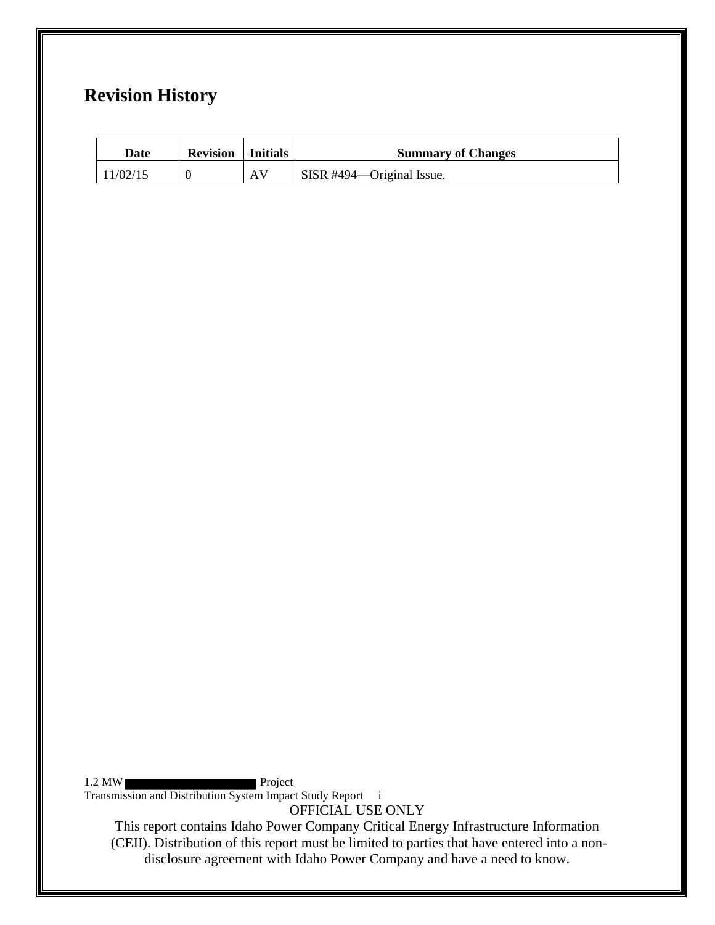## **Revision History**

| Date     | <b>Revision</b>   Initials |    | <b>Summary of Changes</b> |
|----------|----------------------------|----|---------------------------|
| 11/02/15 |                            | AV | SISR #494—Original Issue. |

1.2 MW Project Transmission and Distribution System Impact Study Report i

OFFICIAL USE ONLY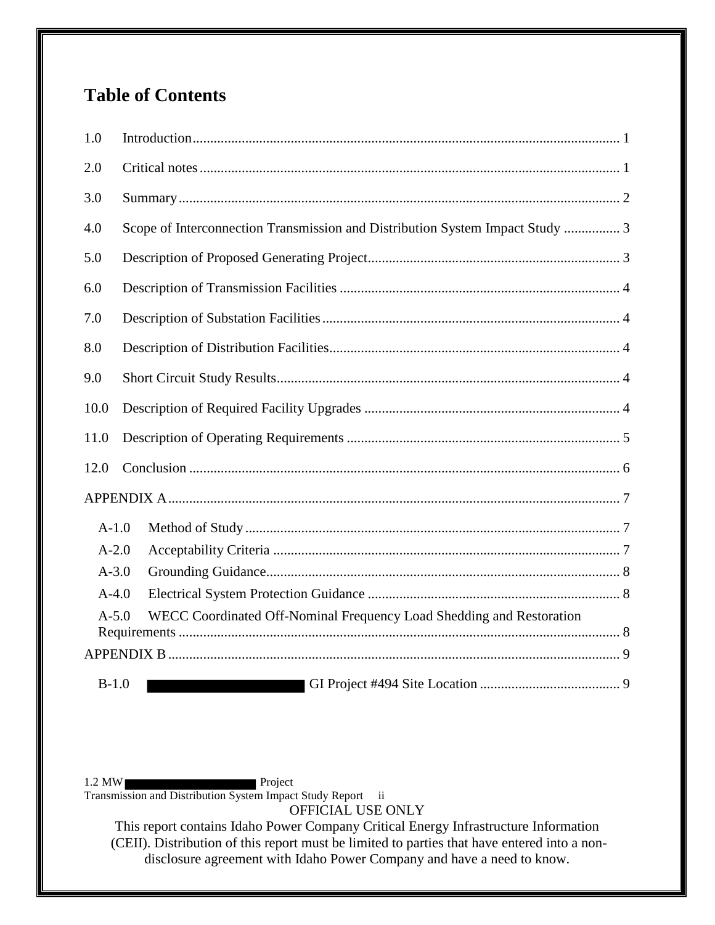# **Table of Contents**

| 1.0       |                                                                               |  |  |  |
|-----------|-------------------------------------------------------------------------------|--|--|--|
| 2.0       |                                                                               |  |  |  |
| 3.0       |                                                                               |  |  |  |
| 4.0       | Scope of Interconnection Transmission and Distribution System Impact Study  3 |  |  |  |
| 5.0       |                                                                               |  |  |  |
| 6.0       |                                                                               |  |  |  |
| 7.0       |                                                                               |  |  |  |
| 8.0       |                                                                               |  |  |  |
| 9.0       |                                                                               |  |  |  |
| 10.0      |                                                                               |  |  |  |
| 11.0      |                                                                               |  |  |  |
| 12.0      |                                                                               |  |  |  |
|           |                                                                               |  |  |  |
| $A-1.0$   |                                                                               |  |  |  |
| $A-2.0$   |                                                                               |  |  |  |
| $A-3.0$   |                                                                               |  |  |  |
| $A-4.0$   |                                                                               |  |  |  |
| $A - 5.0$ | WECC Coordinated Off-Nominal Frequency Load Shedding and Restoration          |  |  |  |
|           |                                                                               |  |  |  |
|           |                                                                               |  |  |  |
| $B-1.0$   |                                                                               |  |  |  |

1.2 MW Project Transmission and Distribution System Impact Study Report ii

OFFICIAL USE ONLY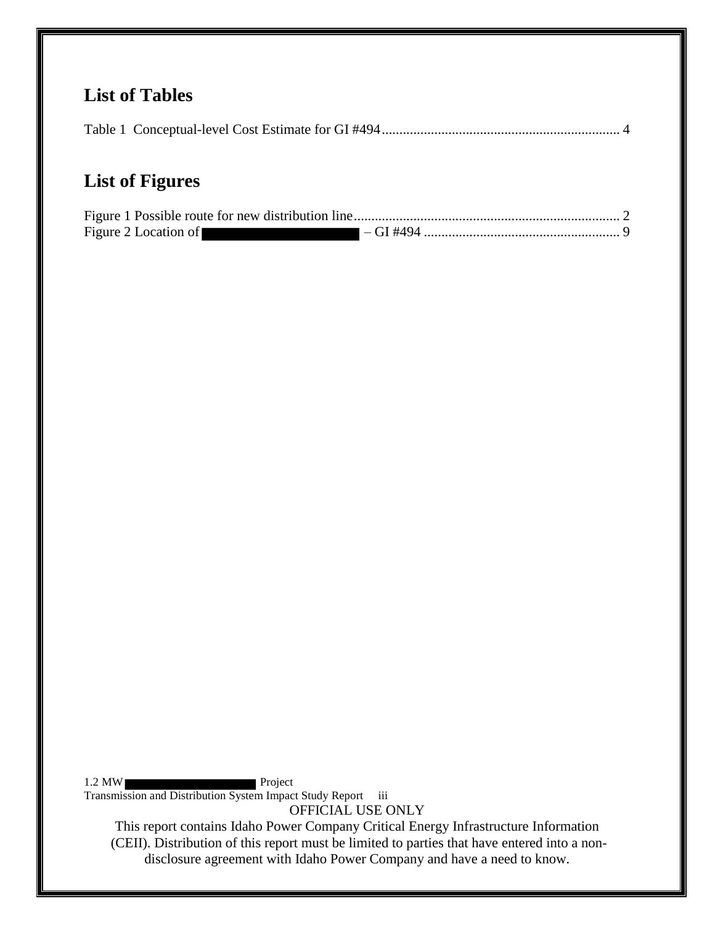## **List of Tables**

## **List of Figures**

| Figure 2 Location of |  |
|----------------------|--|

1.2 MW Project Transmission and Distribution System Impact Study Report iii

OFFICIAL USE ONLY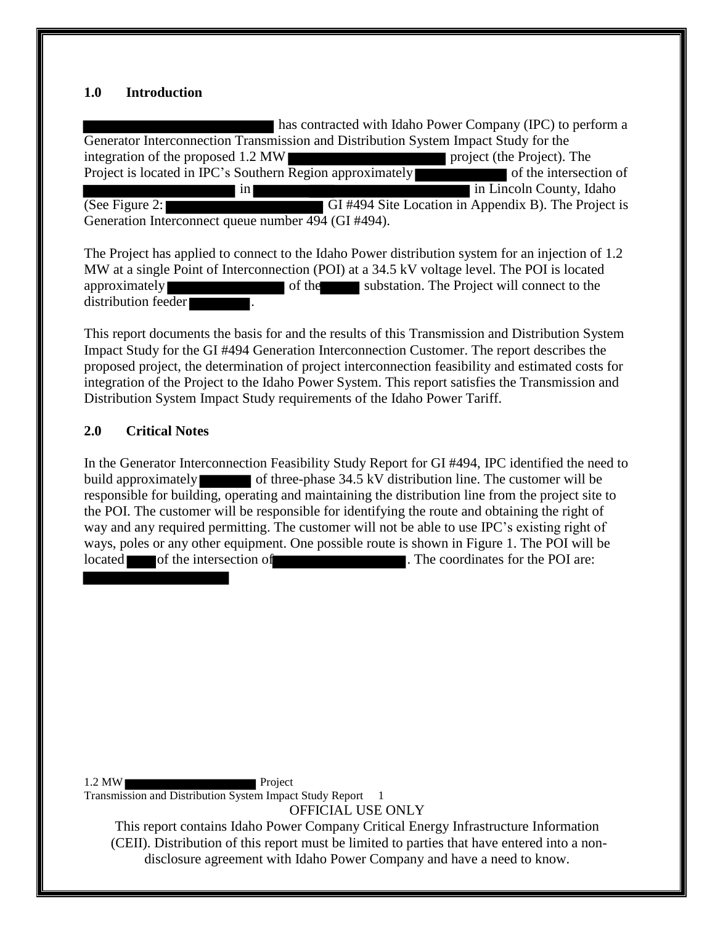#### <span id="page-4-0"></span>**1.0 Introduction**

 has contracted with Idaho Power Company (IPC) to perform a Generator Interconnection Transmission and Distribution System Impact Study for the integration of the proposed 1.2 MW project (the Project). The Project is located in IPC's Southern Region approximately of the intersection of in Lincoln County, Idaho (See Figure 2: GI #494 Site Location in Appendix B). The Project is Generation Interconnect queue number 494 (GI #494).

The Project has applied to connect to the Idaho Power distribution system for an injection of 1.2 MW at a single Point of Interconnection (POI) at a 34.5 kV voltage level. The POI is located approximately of the substation. The Project will connect to the distribution feeder .

This report documents the basis for and the results of this Transmission and Distribution System Impact Study for the GI #494 Generation Interconnection Customer. The report describes the proposed project, the determination of project interconnection feasibility and estimated costs for integration of the Project to the Idaho Power System. This report satisfies the Transmission and Distribution System Impact Study requirements of the Idaho Power Tariff.

### <span id="page-4-1"></span>**2.0 Critical Notes**

In the Generator Interconnection Feasibility Study Report for GI #494, IPC identified the need to build approximately of three-phase 34.5 kV distribution line. The customer will be responsible for building, operating and maintaining the distribution line from the project site to the POI. The customer will be responsible for identifying the route and obtaining the right of way and any required permitting. The customer will not be able to use IPC's existing right of ways, poles or any other equipment. One possible route is shown in Figure 1. The POI will be located of the intersection of **of the intersection** of **of the POI** are:

1.2 MW Project Transmission and Distribution System Impact Study Report 1

OFFICIAL USE ONLY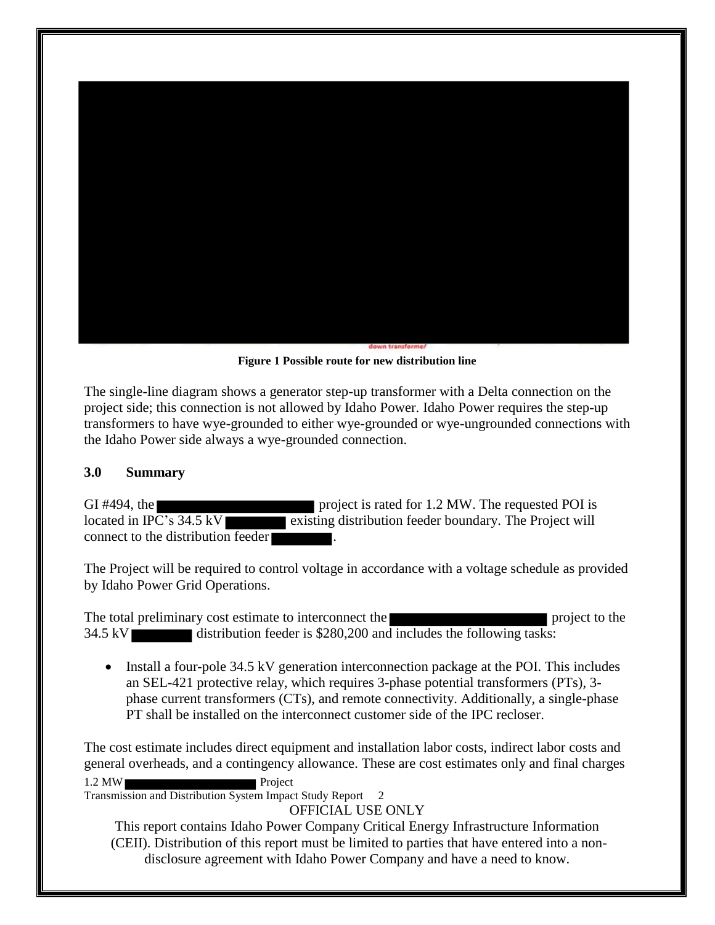

**Figure 1 Possible route for new distribution line** 

<span id="page-5-1"></span>The single-line diagram shows a generator step-up transformer with a Delta connection on the project side; this connection is not allowed by Idaho Power. Idaho Power requires the step-up transformers to have wye-grounded to either wye-grounded or wye-ungrounded connections with the Idaho Power side always a wye-grounded connection.

#### <span id="page-5-0"></span>**3.0 Summary**

GI #494, the project is rated for 1.2 MW. The requested POI is located in IPC's  $34.5 \text{ kV}$  existing distribution feeder boundary. The Project will connect to the distribution feeder .

The Project will be required to control voltage in accordance with a voltage schedule as provided by Idaho Power Grid Operations.

The total preliminary cost estimate to interconnect the project to the project to the  $34.5 \text{ kV}$  distribution feeder is \$280,200 and includes the following tasks:

• Install a four-pole 34.5 kV generation interconnection package at the POI. This includes an SEL-421 protective relay, which requires 3-phase potential transformers (PTs), 3 phase current transformers (CTs), and remote connectivity. Additionally, a single-phase PT shall be installed on the interconnect customer side of the IPC recloser.

1.2 MW The cost estimate includes direct equipment and installation labor costs, indirect labor costs and general overheads, and a contingency allowance. These are cost estimates only and final charges

Transmission and Distribution System Impact Study Report 2

OFFICIAL USE ONLY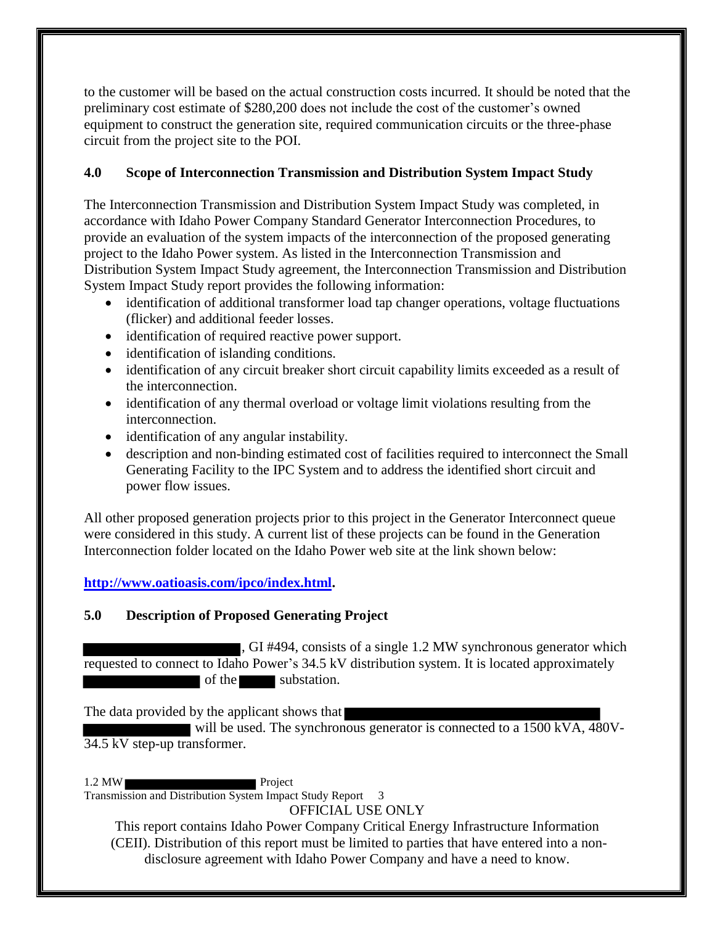to the customer will be based on the actual construction costs incurred. It should be noted that the preliminary cost estimate of \$280,200 does not include the cost of the customer's owned equipment to construct the generation site, required communication circuits or the three-phase circuit from the project site to the POI.

## <span id="page-6-0"></span>**4.0 Scope of Interconnection Transmission and Distribution System Impact Study**

The Interconnection Transmission and Distribution System Impact Study was completed, in accordance with Idaho Power Company Standard Generator Interconnection Procedures, to provide an evaluation of the system impacts of the interconnection of the proposed generating project to the Idaho Power system. As listed in the Interconnection Transmission and Distribution System Impact Study agreement, the Interconnection Transmission and Distribution System Impact Study report provides the following information:

- identification of additional transformer load tap changer operations, voltage fluctuations (flicker) and additional feeder losses.
- identification of required reactive power support.
- identification of islanding conditions.
- identification of any circuit breaker short circuit capability limits exceeded as a result of the interconnection.
- identification of any thermal overload or voltage limit violations resulting from the interconnection.
- identification of any angular instability.
- description and non-binding estimated cost of facilities required to interconnect the Small Generating Facility to the IPC System and to address the identified short circuit and power flow issues.

All other proposed generation projects prior to this project in the Generator Interconnect queue were considered in this study. A current list of these projects can be found in the Generation Interconnection folder located on the Idaho Power web site at the link shown below:

**[http://www.oatioasis.com/ipco/index.html.](http://www.oatioasis.com/ipco/index.html)** 

## <span id="page-6-1"></span>**5.0 Description of Proposed Generating Project**

, GI #494, consists of a single 1.2 MW synchronous generator which requested to connect to Idaho Power's 34.5 kV distribution system. It is located approximately of the substation.

The data provided by the applicant shows that

will be used. The synchronous generator is connected to a 1500 kVA,  $\overline{480V}$ -34.5 kV step-up transformer.

1.2 MW Project Transmission and Distribution System Impact Study Report 3

OFFICIAL USE ONLY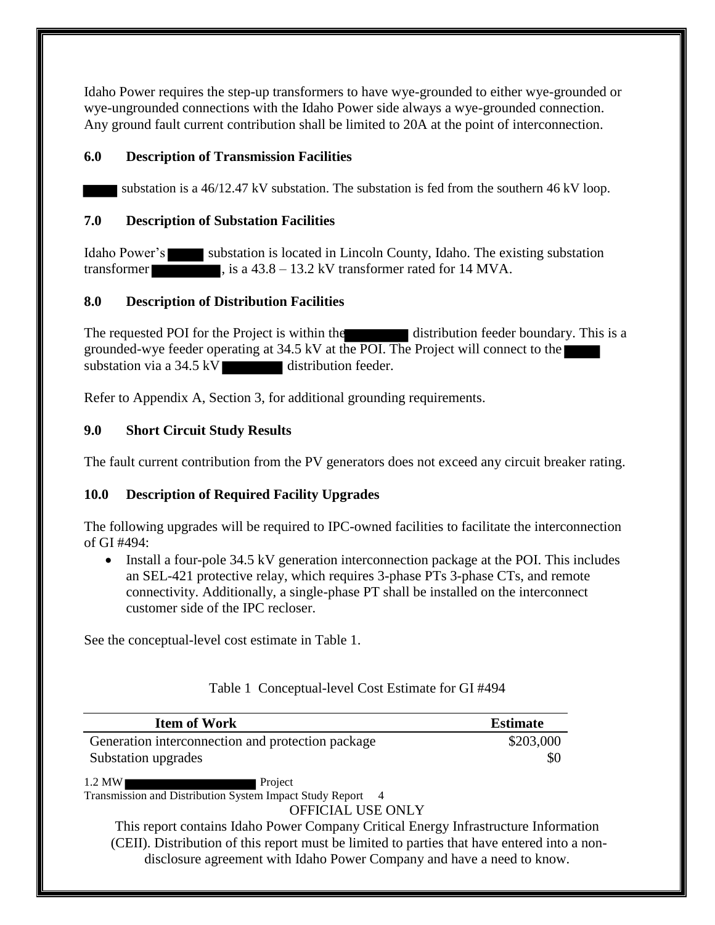Idaho Power requires the step-up transformers to have wye-grounded to either wye-grounded or wye-ungrounded connections with the Idaho Power side always a wye-grounded connection. Any ground fault current contribution shall be limited to 20A at the point of interconnection.

### <span id="page-7-0"></span>**6.0 Description of Transmission Facilities**

substation is a 46/12.47 kV substation. The substation is fed from the southern 46 kV loop.

### <span id="page-7-1"></span>**7.0 Description of Substation Facilities**

Idaho Power's substation is located in Lincoln County, Idaho. The existing substation transformer , is a 43.8 – 13.2 kV transformer rated for 14 MVA.

## <span id="page-7-2"></span>**8.0 Description of Distribution Facilities**

The requested POI for the Project is within the distribution feeder boundary. This is a grounded-wye feeder operating at 34.5 kV at the POI. The Project will connect to the substation via a 34.5 kV distribution feeder.

Refer to Appendix A, Section 3, for additional grounding requirements.

## <span id="page-7-3"></span>**9.0 Short Circuit Study Results**

The fault current contribution from the PV generators does not exceed any circuit breaker rating.

## <span id="page-7-4"></span>**10.0 Description of Required Facility Upgrades**

The following upgrades will be required to IPC-owned facilities to facilitate the interconnection of GI #494:

• Install a four-pole 34.5 kV generation interconnection package at the POI. This includes an SEL-421 protective relay, which requires 3-phase PTs 3-phase CTs, and remote connectivity. Additionally, a single-phase PT shall be installed on the interconnect customer side of the IPC recloser.

See the conceptual-level cost estimate in Table 1.

<span id="page-7-5"></span>

| <b>Item of Work</b>                                                                          | <b>Estimate</b> |
|----------------------------------------------------------------------------------------------|-----------------|
| Generation interconnection and protection package                                            | \$203,000       |
| Substation upgrades                                                                          | \$0             |
| $1.2$ MW<br>Project                                                                          |                 |
| Transmission and Distribution System Impact Study Report 4                                   |                 |
| OFFICIAL USE ONLY                                                                            |                 |
| This report contains Idaho Power Company Critical Energy Infrastructure Information          |                 |
| (CEII). Distribution of this report must be limited to parties that have entered into a non- |                 |

## Table 1 Conceptual-level Cost Estimate for GI #494

disclosure agreement with Idaho Power Company and have a need to know.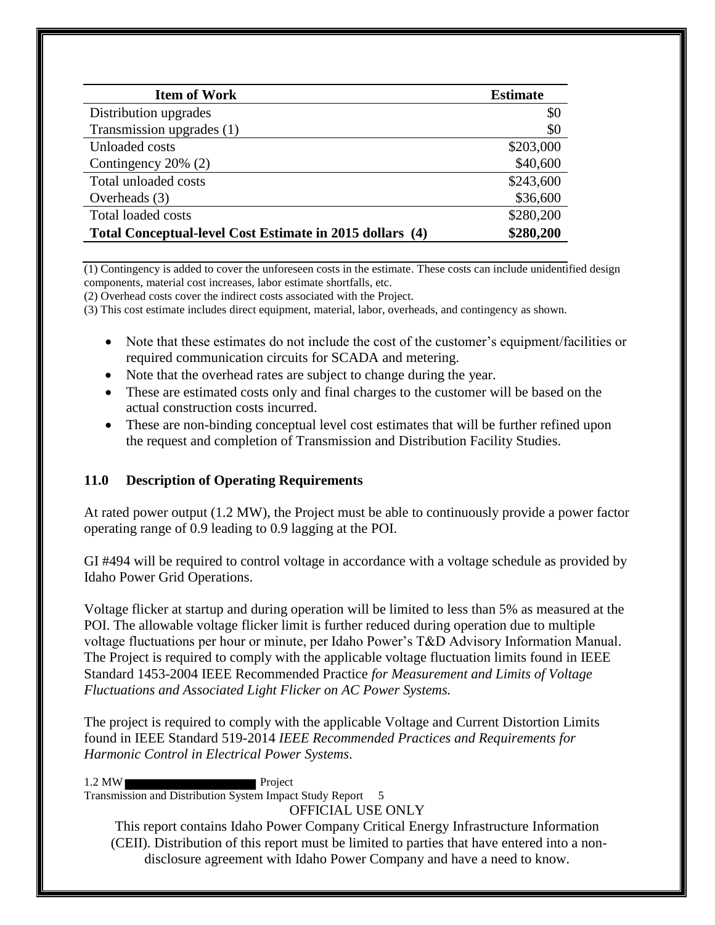| <b>Item of Work</b>                                      | <b>Estimate</b> |
|----------------------------------------------------------|-----------------|
| Distribution upgrades                                    | \$0             |
| Transmission upgrades (1)                                | \$0             |
| Unloaded costs                                           | \$203,000       |
| Contingency 20% (2)                                      | \$40,600        |
| Total unloaded costs                                     | \$243,600       |
| Overheads (3)                                            | \$36,600        |
| <b>Total loaded costs</b>                                | \$280,200       |
| Total Conceptual-level Cost Estimate in 2015 dollars (4) | \$280,200       |

(1) Contingency is added to cover the unforeseen costs in the estimate. These costs can include unidentified design components, material cost increases, labor estimate shortfalls, etc.

(2) Overhead costs cover the indirect costs associated with the Project.

(3) This cost estimate includes direct equipment, material, labor, overheads, and contingency as shown.

- Note that these estimates do not include the cost of the customer's equipment/facilities or required communication circuits for SCADA and metering.
- Note that the overhead rates are subject to change during the year.
- These are estimated costs only and final charges to the customer will be based on the actual construction costs incurred.
- These are non-binding conceptual level cost estimates that will be further refined upon the request and completion of Transmission and Distribution Facility Studies.

#### <span id="page-8-0"></span>**11.0 Description of Operating Requirements**

At rated power output (1.2 MW), the Project must be able to continuously provide a power factor operating range of 0.9 leading to 0.9 lagging at the POI.

GI #494 will be required to control voltage in accordance with a voltage schedule as provided by Idaho Power Grid Operations.

Voltage flicker at startup and during operation will be limited to less than 5% as measured at the POI. The allowable voltage flicker limit is further reduced during operation due to multiple voltage fluctuations per hour or minute, per Idaho Power's T&D Advisory Information Manual. The Project is required to comply with the applicable voltage fluctuation limits found in IEEE Standard 1453-2004 IEEE Recommended Practice *for Measurement and Limits of Voltage Fluctuations and Associated Light Flicker on AC Power Systems.* 

The project is required to comply with the applicable Voltage and Current Distortion Limits found in IEEE Standard 519-2014 *IEEE Recommended Practices and Requirements for Harmonic Control in Electrical Power Systems*.

1.2 MW Project

Transmission and Distribution System Impact Study Report 5

OFFICIAL USE ONLY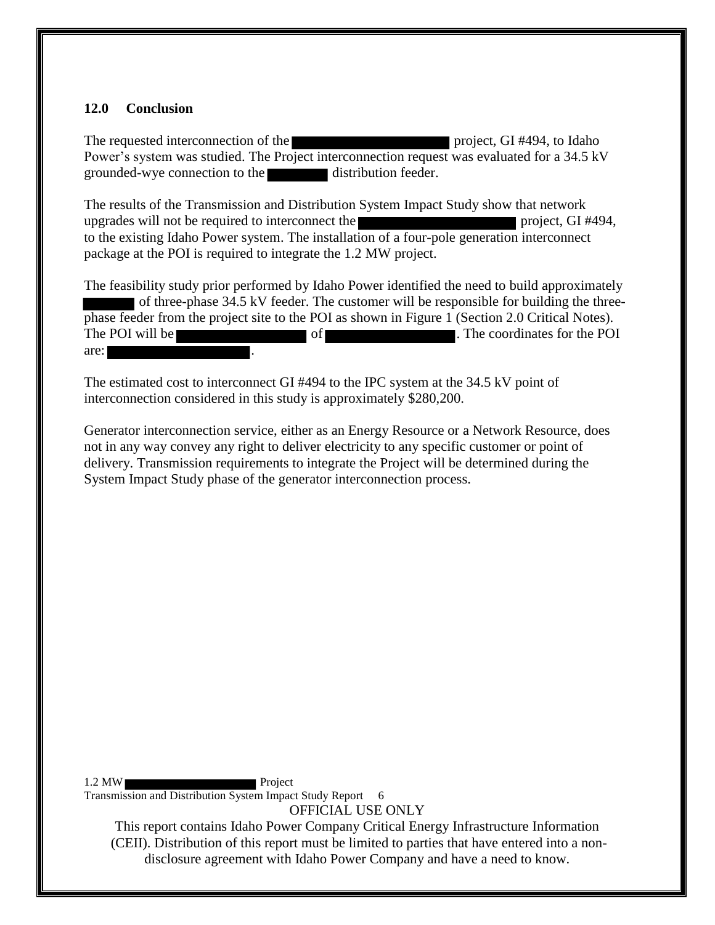#### <span id="page-9-0"></span>**12.0 Conclusion**

The requested interconnection of the project, GI #494, to Idaho Power's system was studied. The Project interconnection request was evaluated for a 34.5 kV grounded-wye connection to the distribution feeder.

The results of the Transmission and Distribution System Impact Study show that network upgrades will not be required to interconnect the project, GI #494, to the existing Idaho Power system. The installation of a four-pole generation interconnect package at the POI is required to integrate the 1.2 MW project.

The feasibility study prior performed by Idaho Power identified the need to build approximately of three-phase 34.5 kV feeder. The customer will be responsible for building the threephase feeder from the project site to the POI as shown in Figure 1 (Section 2.0 Critical Notes). The POI will be **the COV** of **of the COV** and the POI are:

The estimated cost to interconnect GI #494 to the IPC system at the 34.5 kV point of interconnection considered in this study is approximately \$280,200.

Generator interconnection service, either as an Energy Resource or a Network Resource, does not in any way convey any right to deliver electricity to any specific customer or point of delivery. Transmission requirements to integrate the Project will be determined during the System Impact Study phase of the generator interconnection process.

1.2 MW Project Transmission and Distribution System Impact Study Report 6

OFFICIAL USE ONLY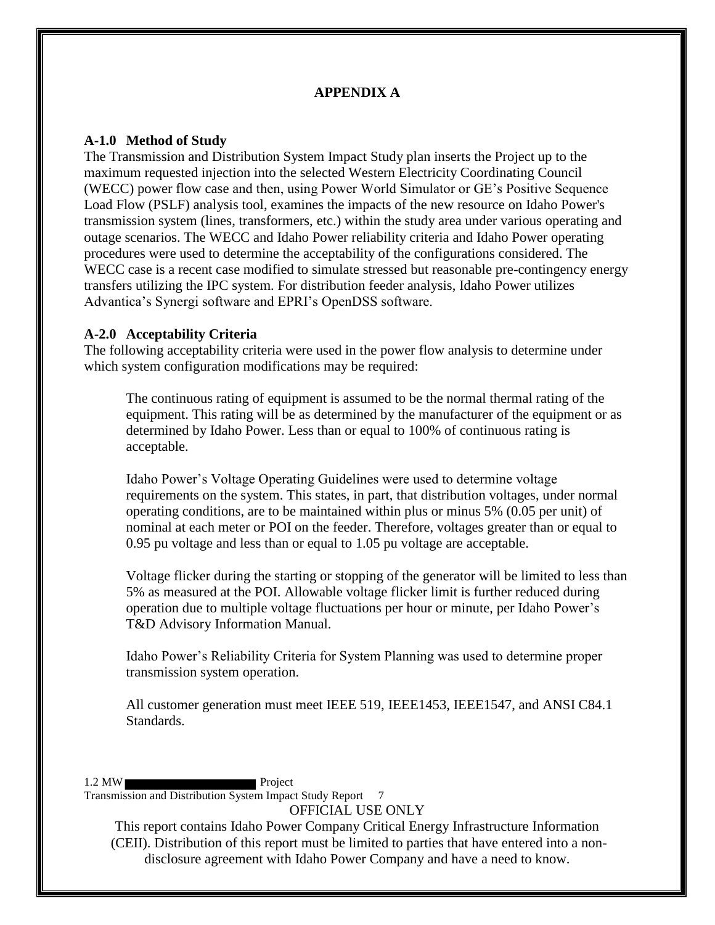### **APPENDIX A**

#### <span id="page-10-1"></span><span id="page-10-0"></span>**A-1.0 Method of Study**

The Transmission and Distribution System Impact Study plan inserts the Project up to the maximum requested injection into the selected Western Electricity Coordinating Council (WECC) power flow case and then, using Power World Simulator or GE's Positive Sequence Load Flow (PSLF) analysis tool, examines the impacts of the new resource on Idaho Power's transmission system (lines, transformers, etc.) within the study area under various operating and outage scenarios. The WECC and Idaho Power reliability criteria and Idaho Power operating procedures were used to determine the acceptability of the configurations considered. The WECC case is a recent case modified to simulate stressed but reasonable pre-contingency energy transfers utilizing the IPC system. For distribution feeder analysis, Idaho Power utilizes Advantica's Synergi software and EPRI's OpenDSS software.

#### <span id="page-10-2"></span>**A-2.0 Acceptability Criteria**

The following acceptability criteria were used in the power flow analysis to determine under which system configuration modifications may be required:

The continuous rating of equipment is assumed to be the normal thermal rating of the equipment. This rating will be as determined by the manufacturer of the equipment or as determined by Idaho Power. Less than or equal to 100% of continuous rating is acceptable.

Idaho Power's Voltage Operating Guidelines were used to determine voltage requirements on the system. This states, in part, that distribution voltages, under normal operating conditions, are to be maintained within plus or minus 5% (0.05 per unit) of nominal at each meter or POI on the feeder. Therefore, voltages greater than or equal to 0.95 pu voltage and less than or equal to 1.05 pu voltage are acceptable.

Voltage flicker during the starting or stopping of the generator will be limited to less than 5% as measured at the POI. Allowable voltage flicker limit is further reduced during operation due to multiple voltage fluctuations per hour or minute, per Idaho Power's T&D Advisory Information Manual.

Idaho Power's Reliability Criteria for System Planning was used to determine proper transmission system operation.

All customer generation must meet IEEE 519, IEEE1453, IEEE1547, and ANSI C84.1 Standards.

#### 1.2 MW Project

Transmission and Distribution System Impact Study Report 7

OFFICIAL USE ONLY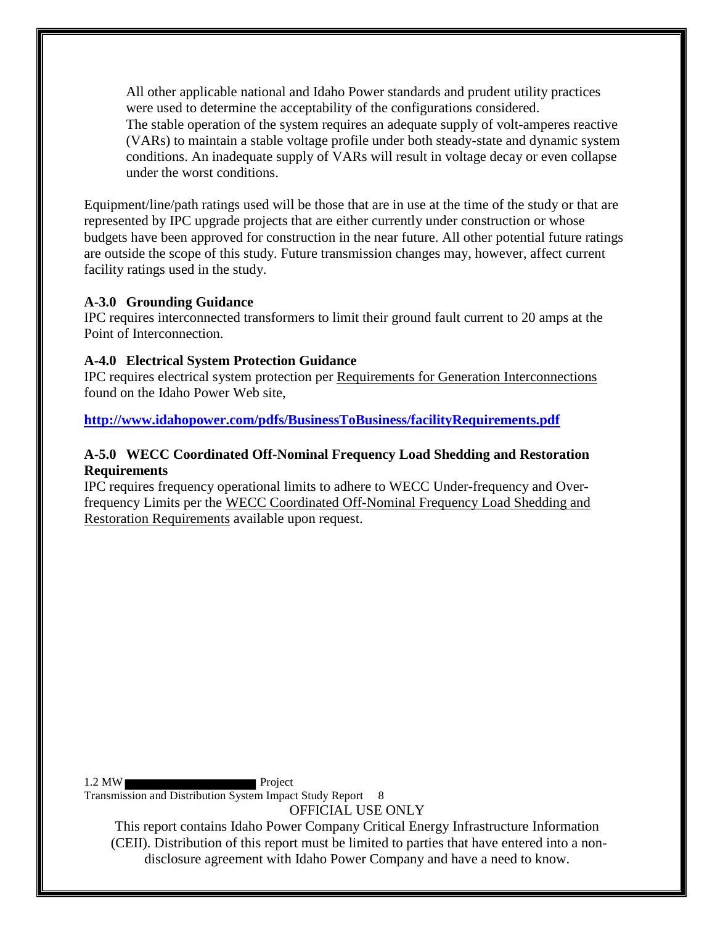All other applicable national and Idaho Power standards and prudent utility practices were used to determine the acceptability of the configurations considered. The stable operation of the system requires an adequate supply of volt-amperes reactive (VARs) to maintain a stable voltage profile under both steady-state and dynamic system conditions. An inadequate supply of VARs will result in voltage decay or even collapse under the worst conditions.

Equipment/line/path ratings used will be those that are in use at the time of the study or that are represented by IPC upgrade projects that are either currently under construction or whose budgets have been approved for construction in the near future. All other potential future ratings are outside the scope of this study. Future transmission changes may, however, affect current facility ratings used in the study.

#### <span id="page-11-0"></span>**A-3.0 Grounding Guidance**

IPC requires interconnected transformers to limit their ground fault current to 20 amps at the Point of Interconnection.

#### <span id="page-11-1"></span>**A-4.0 Electrical System Protection Guidance**

IPC requires electrical system protection per Requirements for Generation Interconnections found on the Idaho Power Web site,

**<http://www.idahopower.com/pdfs/BusinessToBusiness/facilityRequirements.pdf>**

### <span id="page-11-2"></span>**A-5.0 WECC Coordinated Off-Nominal Frequency Load Shedding and Restoration Requirements**

IPC requires frequency operational limits to adhere to WECC Under-frequency and Overfrequency Limits per the WECC Coordinated Off-Nominal Frequency Load Shedding and Restoration Requirements available upon request.

1.2 MW Project

Transmission and Distribution System Impact Study Report 8

OFFICIAL USE ONLY